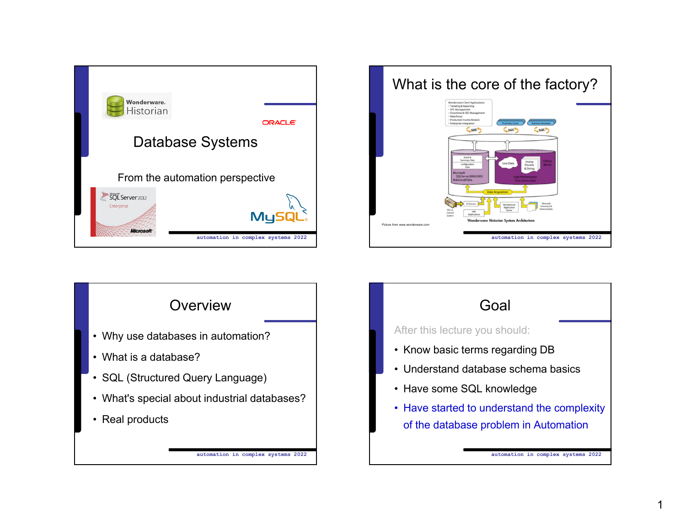





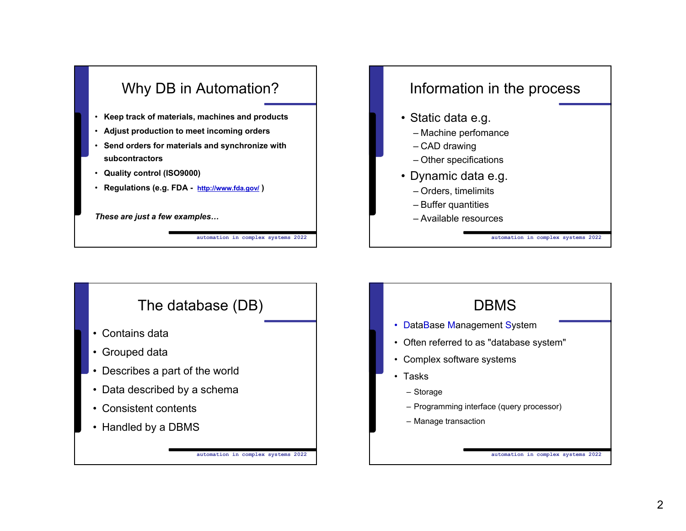

## Information in the process

- Static data e.g.
	- Machine perfomance
	- CAD drawing
	- Other specifications
- Dynamic data e.g.
	- Orders, timelimits
	- Buffer quantities
	- Available resources

The database (DB) • Contains data• Grouped data • Describes a part of the world • Data described by a schema • Consistent contents• Handled by a DBMS

**automation in complex systems 2022**



**automation in complex systems 2022**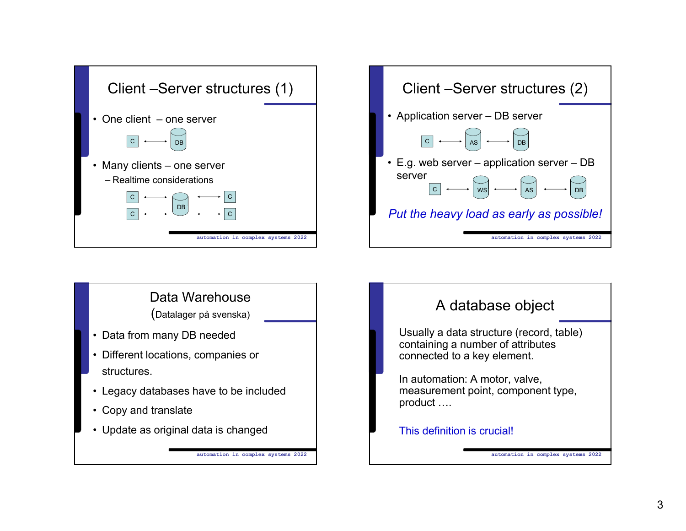





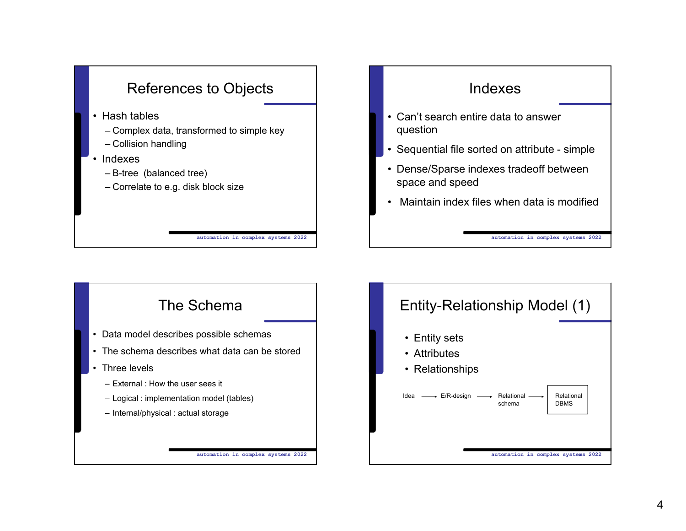



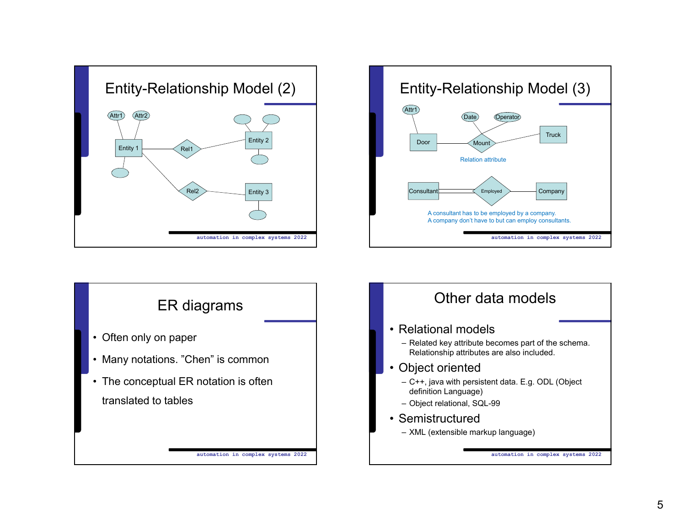





## – Related key attribute becomes part of the schema. – C++, java with persistent data. E.g. ODL (Object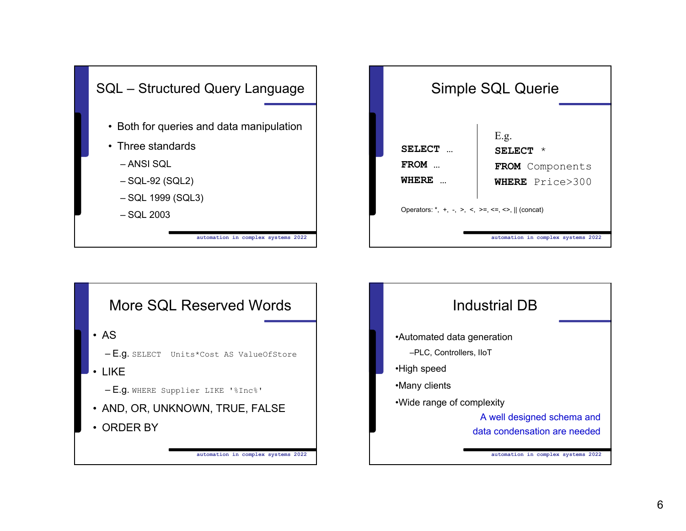